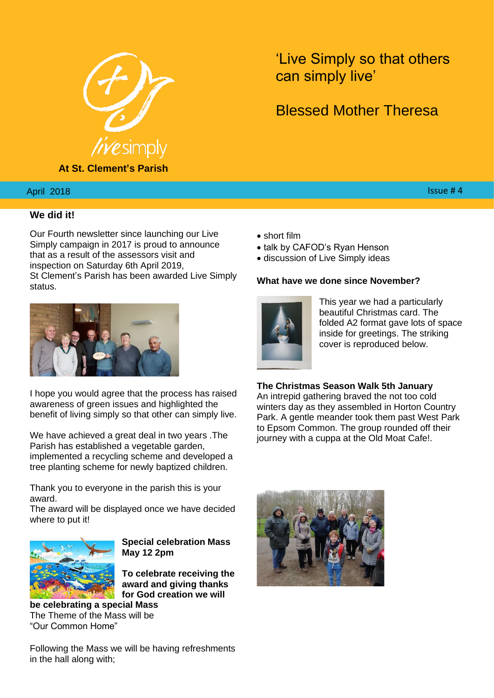

**At St. Clement's Parish**

'Live Simply so that others can simply live'

# Blessed Mother Theresa

# $2018$  . The second contract of the second contract of the second contract of the second contract  $44$

April 2018

# **We did it!**

Our Fourth newsletter since launching our Live Simply campaign in 2017 is proud to announce that as a result of the assessors visit and inspection on Saturday 6th April 2019, St Clement's Parish has been awarded Live Simply status.



I hope you would agree that the process has raised awareness of green issues and highlighted the benefit of living simply so that other can simply live.

We have achieved a great deal in two years .The Parish has established a vegetable garden, implemented a recycling scheme and developed a tree planting scheme for newly baptized children.

Thank you to everyone in the parish this is your award.

The award will be displayed once we have decided where to put it!



**Special celebration Mass May 12 2pm**

**To celebrate receiving the award and giving thanks for God creation we will** 

**be celebrating a special Mass**  The Theme of the Mass will be "Our Common Home"

Following the Mass we will be having refreshments in the hall along with;

- short film
- talk by CAFOD's Ryan Henson
- discussion of Live Simply ideas

# **What have we done since November?**



This year we had a particularly beautiful Christmas card. The folded A2 format gave lots of space inside for greetings. The striking cover is reproduced below.

## **The Christmas Season Walk 5th January**

An intrepid gathering braved the not too cold winters day as they assembled in Horton Country Park. A gentle meander took them past West Park to Epsom Common. The group rounded off their journey with a cuppa at the Old Moat Cafe!.